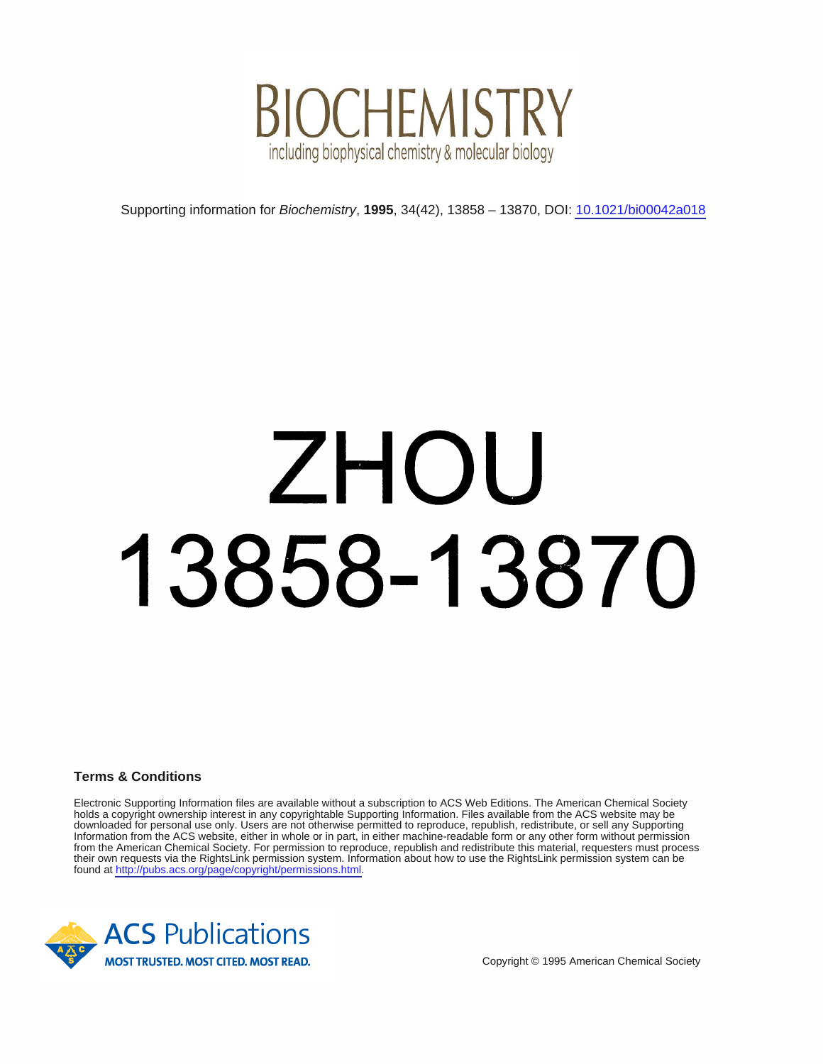

## Supporting information for *Biochemistry*, **1995**, 34(42), 13858 – 13870, DOI: <u>10.1021/bi00042a018</u><br>
13855**8 – 13870**<br>CS Publications<br>
STRIE NOIS

**Terms & Conditions**

Electronic Supporting Information files are available without a subscription to ACS Web Editions. The American Chemical Society holds a copyright ownership interest in any copyrightable Supporting Information. Files available from the ACS website may be downloaded for personal use only. Users are not otherwise permitted to reproduce, republish, redistribute, or sell any Supporting Information from the ACS website, either in whole or in part, in either machine-readable form or any other form without permission from the American Chemical Society. For permission to reproduce, republish and redistribute this material, requesters must process their own requests via the RightsLink permission system. Information about how to use the RightsLink permission system can be found at [http://pubs.acs.org/page/copyright/permissions.html.](http://pubs.acs.org/page/copyright/permissions.html)

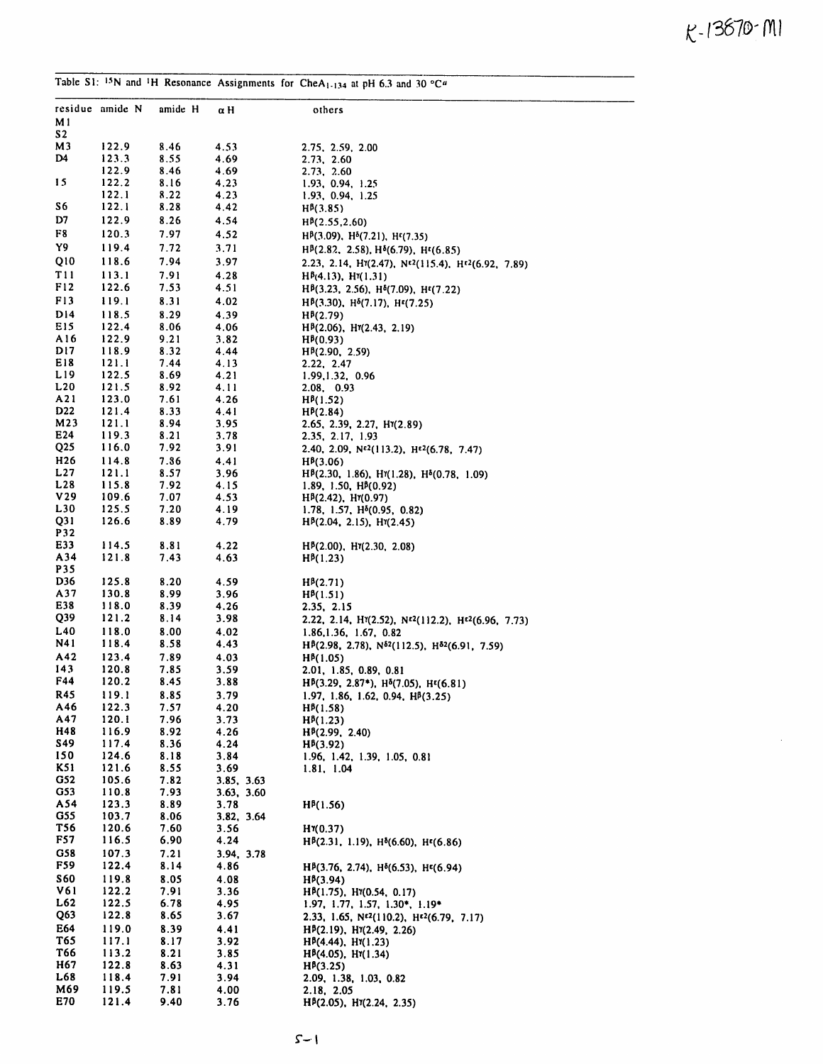£-1387©' m <sup>I</sup>

 $\sim$   $\sim$ 

|                 |                 |              |                          | Table S1: <sup>15</sup> N and <sup>1</sup> H Resonance Assignments for CheA <sub>1-134</sub> at pH 6.3 and 30 °C <sup>a</sup> |
|-----------------|-----------------|--------------|--------------------------|-------------------------------------------------------------------------------------------------------------------------------|
| M 1             | residue amide N | amide H      | αH                       | others                                                                                                                        |
| <b>S2</b><br>М3 |                 |              |                          |                                                                                                                               |
| D4              | 122.9<br>123.3  | 8.46<br>8.55 | 4.53<br>4.69             | 2.75, 2.59, 2.00<br>2.73, 2.60                                                                                                |
|                 | 122.9           | 8.46         | 4.69                     | 2.73, 2.60                                                                                                                    |
| 15              | 122.2           | 8.16         | 4.23                     | 1.93, 0.94, 1.25                                                                                                              |
|                 | 122.1           | 8.22         | 4.23                     | 1.93, 0.94, 1.25                                                                                                              |
| S6              | 122.1           | 8.28         | 4.42                     | $H^{8}(3.85)$                                                                                                                 |
| D7              | 122.9           | 8.26         | 4.54                     | H <sup>B</sup> (2.55,2.60)                                                                                                    |
| F8              | 120.3           | 7.97         | 4.52                     | H <sup>B</sup> (3.09), H <sup>5</sup> (7.21), H <sup>ε</sup> (7.35)                                                           |
| Υ9              | 119.4           | 7.72         | 3.71                     | H <sup>B</sup> (2.82, 2.58), H <sup>6</sup> (6.79), H <sup>t</sup> (6.85)                                                     |
| Q10             | 118.6           | 7.94         | 3.97                     | 2.23, 2.14, $H^{\gamma}(2.47)$ , $N^{\epsilon 2}(115.4)$ , $H^{\epsilon 2}(6.92, 7.89)$                                       |
| T 1 1           | 113.1           | 7.91         | 4.28                     | $H^{p}(4.13)$ , $H^{p}(1.31)$                                                                                                 |
| F12             | 122.6           | 7.53         | 4.51                     | H <sup>B</sup> (3.23, 2.56), H <sup>B</sup> (7.09), H <sup>E</sup> (7.22)                                                     |
| F13             | 119.1           | 8.31         | 4.02                     | Н <sup>β</sup> (3.30), Н <sup>δ</sup> (7.17), Н <sup>ε</sup> (7.25)                                                           |
| D14             | 118.5           | 8.29         | 4.39                     | $H^{p}(2.79)$                                                                                                                 |
| E15<br>A16      | 122.4<br>122.9  | 8.06<br>9.21 | 4.06<br>3.82             | Н <sup>β</sup> (2.06), Нη(2.43, 2.19)<br>HP(0.93)                                                                             |
| DI 7            | 118.9           | 8.32         | 4.44                     | $H^{B}(2.90, 2.59)$                                                                                                           |
| E18             | 121.1           | 7.44         | 4.13                     | 2.22, 2.47                                                                                                                    |
| L19             | 122.5           | 8.69         | 4.21                     | 1.99, 1.32, 0.96                                                                                                              |
| L20             | 121.5           | 8.92         | 4.11                     | 2.08, 0.93                                                                                                                    |
| A21             | 123.0           | 7.61         | 4.26                     | $H^{B}(1.52)$                                                                                                                 |
| D <sub>22</sub> | 121.4           | 8.33         | 4.41                     | H <sub>p</sub> (2.84)                                                                                                         |
| M23<br>E24      | 121.1<br>119.3  | 8.94<br>8.21 | 3.95                     | 2.65, 2.39, 2.27, H $(2.89)$                                                                                                  |
| Q25             | 116.0           | 7.92         | 3.78<br>3.91             | 2.35, 2.17, 1.93<br>2.40, 2.09, N <sup>e2</sup> (113.2), H <sup>e2</sup> (6.78, 7.47)                                         |
| H <sub>26</sub> | 114.8           | 7.86         | 4.41                     | H <sub>p</sub> (3.06)                                                                                                         |
| L <sub>27</sub> | 121.1           | 8.57         | 3.96                     | H <sup>B</sup> (2.30, 1.86), H <sup>t</sup> (1.28), H <sup>5</sup> (0.78, 1.09)                                               |
| L28             | 115.8           | 7.92         | 4.15                     | 1.89, 1.50, $H^{p}(0.92)$                                                                                                     |
| V29             | 109.6           | 7.07         | 4.53                     | $Hp(2.42)$ , $Hq(0.97)$                                                                                                       |
| L30             | 125.5           | 7.20         | 4.19                     | 1.78, 1.57, H <sup>8</sup> (0.95, 0.82)                                                                                       |
| Q31             | 126.6           | 8.89         | 4.79                     | $Hp(2.04, 2.15), Hp(2.45)$                                                                                                    |
| P32<br>E33      | 114.5           | 8.81         | 4.22                     |                                                                                                                               |
| A34             | 121.8           | 7.43         | 4.63                     | $H^{p}(2.00)$ , $H^{q}(2.30, 2.08)$<br>$H^{p}(1.23)$                                                                          |
| P35             |                 |              |                          |                                                                                                                               |
| D36             | 125.8           | 8.20         | 4.59                     | $H^{p}(2.71)$                                                                                                                 |
| A37             | 130.8           | 8.99         | 3.96                     | $H^{B}(1.51)$                                                                                                                 |
| E38             | 118.0           | 8.39         | 4.26                     | 2.35, 2.15                                                                                                                    |
| Q39             | 121.2           | 8.14         | 3.98                     | 2.22, 2.14, $H^*(2.52)$ , $N^{2}(112.2)$ , $H^{2}(6.96, 7.73)$                                                                |
| L40             | 118.0           | 8.00         | 4.02                     | 1.86, 1.36, 1.67, 0.82                                                                                                        |
| N41             | 118.4           | 8.58         | 4.43                     | $H^{\beta}(2.98, 2.78), N^{\delta 2}(112.5), H^{\delta 2}(6.91, 7.59)$                                                        |
| A42<br>143      | 123.4<br>120.8  | 7.89<br>7.85 | 4.03<br>3.59             | $H^{p}(1.05)$                                                                                                                 |
| F44             | 120.2           | 8.45         | 3.88                     | 2.01, 1.85, 0.89, 0.81<br>$H^{\beta}(3.29, 2.87^*)$ , $H^{\delta}(7.05)$ , $H^{\epsilon}(6.81)$                               |
| R45             | 119.1           | 8.85         | 3.79                     | 1.97, 1.86, 1.62, 0.94, HB(3.25)                                                                                              |
| A46             | 122.3           | 7.57         | 4.20                     | $H^{B}(1.58)$                                                                                                                 |
| A47             | 120.1           | 7.96         | 3.73                     | $H^{3}(1.23)$                                                                                                                 |
| H48             | 116.9           | 8.92         | 4.26                     | H <sup>B</sup> (2.99, 2.40)                                                                                                   |
| S49             | 117.4           | 8.36         | 4.24                     | $H^{6}(3.92)$                                                                                                                 |
| 150             | 124.6           | 8.18         | 3.84                     | 1.96, 1.42, 1.39, 1.05, 0.81                                                                                                  |
| K51             | 121.6           | 8.55         | 3.69                     | 1.81, 1.04                                                                                                                    |
| G52<br>G53      | 105.6<br>110.8  | 7.82<br>7.93 | 3.85, 3.63<br>3.63, 3.60 |                                                                                                                               |
| A54             | 123.3           | 8.89         | 3.78                     | $H^{p}(1.56)$                                                                                                                 |
| G55             | 103.7           | 8.06         | 3.82, 3.64               |                                                                                                                               |
| T56             | 120.6           | 7.60         | 3.56                     | HY(0.37)                                                                                                                      |
| <b>F57</b>      | 116.5           | 6.90         | 4.24                     | $H^{\beta}(2.31, 1.19), H^{\delta}(6.60), H^{\epsilon}(6.86)$                                                                 |
| G58             | 107.3           | 7.21         | 3.94, 3.78               |                                                                                                                               |
| F59             | 122.4           | 8.14         | 4.86                     | $H^{p}(3.76, 2.74), H^{p}(6.53), H^{p}(6.94)$                                                                                 |
| <b>S60</b>      | 119.8           | 8.05         | 4.08                     | $H^{6}(3.94)$                                                                                                                 |
| V61<br>L62      | 122.2           | 7.91         | 3.36                     | $H^{\beta}(1.75)$ , $H^{\gamma}(0.54, 0.17)$                                                                                  |
| Q63             | 122.5<br>122.8  | 6.78<br>8.65 | 4.95<br>3.67             | $1.97, 1.77, 1.57, 1.30^*, 1.19^*$                                                                                            |
| E64             | 119.0           | 8.39         | 4.41                     | 2.33, 1.65, N <sup>£2</sup> (110.2), H <sup>£2</sup> (6.79, 7.17)<br>$H^{\beta}(2.19)$ , $H^{\gamma}(2.49, 2.26)$             |
| T65             | 117.1           | 8.17         | 3.92                     | $H^{p}(4.44)$ , $H^{q}(1.23)$                                                                                                 |
| T66             | 113.2           | 8.21         | 3.85                     | $H^{p}(4.05)$ , $H^{q}(1.34)$                                                                                                 |
| H67             | 122.8           | 8.63         | 4.31                     | $H^{p}(3.25)$                                                                                                                 |
| L68             | 118.4           | 7.91         | 3.94                     | 2.09, 1.38, 1.03, 0.82                                                                                                        |
| M69             | 119.5           | 7.81         | 4.00                     | 2.18, 2.05                                                                                                                    |
| E70             | 121.4           | 9.40         | 3.76                     | $H^{\beta}(2.05)$ , $H^{\gamma}(2.24, 2.35)$                                                                                  |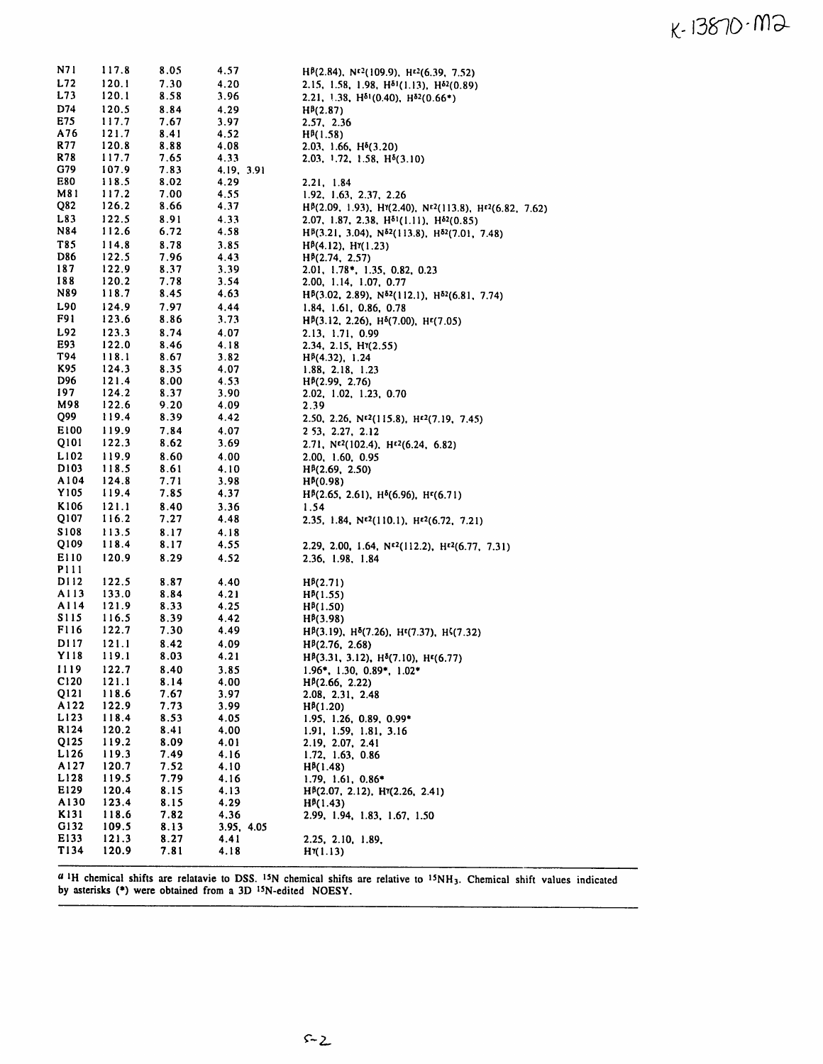## $K - 13870 - M2$

| N7 1             | 117.8          | 8.05         | 4.57         | $H^{p}(2.84)$ , $N^{r2}(109.9)$ , $H^{r2}(6.39, 7.52)$                                                    |
|------------------|----------------|--------------|--------------|-----------------------------------------------------------------------------------------------------------|
| L72              | 120.1          | 7.30         | 4.20         | 2.15, 1.58, 1.98, $H^{\delta 1}(1.13)$ , $H^{\delta 2}(0.89)$                                             |
| L73              | 120.1          | 8.58         | 3.96         | 2.21, 1.38, $H^{\delta_1}(0.40)$ , $H^{\delta_2}(0.66^*)$                                                 |
| D74              | 120.5          | 8.84         | 4.29         | $H^{B}(2.87)$                                                                                             |
| E75              | 117.7          | 7.67         | 3.97         | 2.57, 2.36                                                                                                |
| A76              | 121.7          | 8.41         | 4.52         | $H^{p}(1.58)$                                                                                             |
| R77              | 120.8          | 8.88         | 4.08         | 2.03, 1.66, $H^{\delta}(3.20)$                                                                            |
| R78              | 117.7          | 7.65         | 4.33         | 2.03, 1.72, 1.58, H <sup>§</sup> (3.10)                                                                   |
| G79              | 107.9          | 7.83         | 4.19, 3.91   |                                                                                                           |
| E80              | 118.5          | 8.02         | 4.29         | 2.21, 1.84                                                                                                |
| M81              | 117.2          | 7.00         | 4.55         | 1.92, 1.63, 2.37, 2.26                                                                                    |
| Q82              | 126.2          | 8.66         | 4.37         | H <sup>B</sup> (2.09, 1.93), H <sup>'</sup> (2.40), N <sup>E2</sup> (113.8), H <sup>E2</sup> (6.82, 7.62) |
| L83              | 122.5          | 8.91         | 4.33         | 2.07, 1.87, 2.38, $H^{\delta_1}(1.11)$ , $H^{\delta_2}(0.85)$                                             |
| N84              | 112.6          | 6.72         | 4.58         | $H^{p}(3.21, 3.04), N^{\delta2}(113.8), H^{\delta2}(7.01, 7.48)$                                          |
| T85              | 114.8          | 8.78         | 3.85         | Η <sup>β</sup> (4.12), Η <sup>γ</sup> (1.23)                                                              |
| <b>D86</b>       | 122.5          | 7.96         | 4.43         | $H^{p}(2.74, 2.57)$                                                                                       |
| 187              | 122.9          | 8.37         | 3.39         | 2.01, 1.78*, 1.35, 0.82, 0.23                                                                             |
| 188              | 120.2          | 7.78         | 3.54         | 2.00, 1.14, 1.07, 0.77                                                                                    |
| N89              | 118.7          | 8.45         | 4.63         | $H^{\beta}(3.02, 2.89), N^{\delta 2}(112.1), H^{\delta 2}(6.81, 7.74)$                                    |
| L90              | 124.9          | 7.97         | 4.44         | 1.84, 1.61, 0.86, 0.78                                                                                    |
| F91              | 123.6          | 8.86         | 3.73         | $H^{p}(3.12, 2.26), H^{p}(7.00), H^{p}(7.05)$                                                             |
| L92              | 123.3          | 8.74         | 4.07         | 2.13, 1.71, 0.99                                                                                          |
| E93              | 122.0          | 8.46         | 4.18         | 2.34, 2.15, H $(2.55)$                                                                                    |
| T94              | 118.1          | 8.67         | 3.82         | H <sup>B</sup> (4.32), 1.24                                                                               |
| K95              | 124.3          | 8.35         | 4.07         | 1.88, 2.18, 1.23                                                                                          |
| D96              | 121.4          | 8.00         | 4.53         | $H^{p}(2.99, 2.76)$                                                                                       |
| 197              | 124.2          | 8.37         | 3.90         | 2.02, 1.02, 1.23, 0.70                                                                                    |
| M98              | 122.6          | 9.20         | 4.09         | 2.39                                                                                                      |
| Q99              | 119.4          | 8.39         | 4.42         | 2.50, 2.26, $N^{c2}(115.8)$ , $H^{c2}(7.19, 7.45)$                                                        |
| E100             | 119.9          | 7.84         | 4.07         | 2 53, 2.27, 2.12                                                                                          |
| Q101             | 122.3          | 8.62         | 3.69         | 2.71, $N^{\epsilon^2}(102.4)$ , $H^{\epsilon^2}(6.24, 6.82)$                                              |
| L102             | 119.9          | 8.60         | 4.00         | 2.00, 1.60, 0.95                                                                                          |
| D103             | 118.5          | 8.61         | 4.10         | H <sup>p</sup> (2.69, 2.50)                                                                               |
| A104             | 124.8          | 7.71         | 3.98         | $H^{6}(0.98)$                                                                                             |
| Y105             | 119.4          | 7.85         | 4.37         | $H^{\beta}(2.65, 2.61), H^{\delta}(6.96), H^{\epsilon}(6.71)$                                             |
| K106             | 121.1          | 8.40         | 3.36         | 1.54                                                                                                      |
| Q107             | 116.2          | 7.27         | 4.48         | 2.35, 1.84, $N^{2}(110.1)$ , $H^{2}(6.72, 7.21)$                                                          |
| S 1 0 8          | 113.5          | 8.17         | 4.18         |                                                                                                           |
| Q109             | 118.4          | 8.17         | 4.55         | 2.29, 2.00, 1.64, $N^{2}(112.2)$ , $H^{2}(6.77, 7.31)$                                                    |
| E110             | 120.9          | 8.29         | 4.52         | 2.36, 1.98, 1.84                                                                                          |
| <b>P111</b>      |                |              |              |                                                                                                           |
| DI 12            | 122.5          | 8.87         | 4.40         | $H^{3}(2.71)$                                                                                             |
| A113             | 133.0          | 8.84         | 4.21         | $H^{p}(1.55)$                                                                                             |
| A114             | 121.9          | 8.33         | 4.25         | $H^{p}(1.50)$                                                                                             |
| S 115            | 116.5          | 8.39         | 4.42         | $H^{p}(3.98)$                                                                                             |
| <b>F116</b>      | 122.7          | 7.30         | 4.49         | $H^{\beta}(3.19)$ , $H^{\delta}(7.26)$ , $H^{\epsilon}(7.37)$ , $H^{\zeta}(7.32)$                         |
| D117             | 121.1          | 8.42         | 4.09         | $H^{B}(2.76, 2.68)$                                                                                       |
| Y118             | 119.1          | 8.03         | 4.21         | Н <sup>β</sup> (3.31, 3.12), Н <sup>δ</sup> (7.10), Н <sup>ε</sup> (6.77)                                 |
| 1119             | 122.7          | 8.40         | 3.85         | 1.96*, 1.30, 0.89*, 1.02*                                                                                 |
| C <sub>120</sub> | 121.1          | 8.14         | 4.00         | $H^{\beta}(2.66, 2.22)$                                                                                   |
| Q121<br>A122     | 118.6          | 7.67         | 3.97         | 2.08, 2.31, 2.48                                                                                          |
|                  | 122.9          | 7.73         | 3.99         | $H^{p}(1.20)$                                                                                             |
| L123<br>R124     | 118.4<br>120.2 | 8.53<br>8.41 | 4.05<br>4.00 | $1.95, 1.26, 0.89, 0.99*$<br>1.91, 1.59, 1.81, 3.16                                                       |
| Q125             | 119.2          |              |              |                                                                                                           |
| L126             | 119.3          | 8.09<br>7.49 | 4.01<br>4.16 | 2.19, 2.07, 2.41<br>1.72, 1.63, 0.86                                                                      |
| A127             | 120.7          | 7.52         | 4.10         | $H^{p}(1.48)$                                                                                             |
| L128             | 119.5          | 7.79         | 4.16         | $1.79, 1.61, 0.86*$                                                                                       |
| E129             | 120.4          | 8.15         | 4.13         | H <sup>B</sup> (2.07, 2.12), H <sup>T</sup> (2.26, 2.41)                                                  |
| A130             | 123.4          | 8.15         | 4.29         | $H^{p}(1.43)$                                                                                             |
| K131             | 118.6          | 7.82         | 4.36         | 2.99, 1.94, 1.83, 1.67, 1.50                                                                              |
| G132             | 109.5          | 8.13         | 3.95, 4.05   |                                                                                                           |
| E133             | 121.3          | 8.27         | 4.41         | 2.25, 2.10, 1.89,                                                                                         |
| T134             | 120.9          | 7.81         | 4.18         | $H^{\gamma}(1.13)$                                                                                        |
|                  |                |              |              |                                                                                                           |

 $a_{1}$ H chemical shifts are relatavie to DSS. <sup>15</sup>N chemical shifts are relative to  $15NH_3$ . Chemical shift values indicated by asterisks (\*) were obtained from <sup>a</sup> 3D 15N-edited NOESY.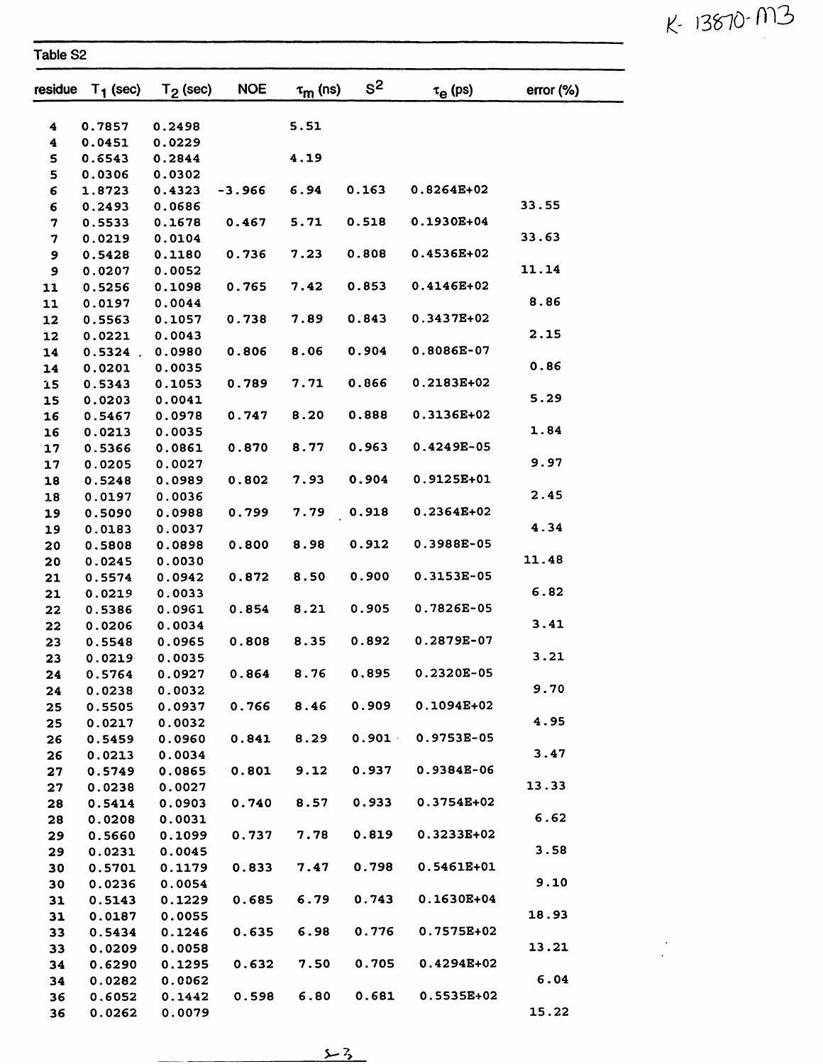$K - 13870 - M3$ 

 $\frac{1}{\sqrt{2}}\left( \frac{1}{\sqrt{2}}\right) ^{2}$ 

| rable S2 |  |
|----------|--|
|----------|--|

| residue  | $T_1$ (sec)      | $T2$ (sec)       | <b>NOE</b> | $\tau_{\text{m}}$ (ns) | $s^2$ | $\tau_{\alpha}$ (ps) | error (%) |
|----------|------------------|------------------|------------|------------------------|-------|----------------------|-----------|
|          |                  |                  |            |                        |       |                      |           |
| 4        | 0.7857           | 0.2498           |            | 5.51                   |       |                      |           |
| 4        | 0.0451           | 0.0229           |            |                        |       |                      |           |
| 5        | 0.6543           | 0.2844           |            | 4.19                   |       |                      |           |
| 5        | 0.0306           | 0.0302           |            |                        |       |                      |           |
| 6        | 1.8723           | 0.4323           | $-3.966$   | 6.94                   | 0.163 | 0.8264E+02           |           |
| 6        | 0.2493           | 0.0686           |            |                        |       |                      | 33.55     |
| 7        | 0.5533           | 0.1678           | 0.467      | 5.71                   | 0.518 | 0.1930E+04           |           |
| 7        | 0.0219           | 0.0104           |            |                        |       |                      | 33.63     |
| 9        | 0.5428           | 0.1180           | 0.736      | 7.23                   | 0.808 | 0.4536E+02           |           |
| 9        | 0.0207           | 0.0052           |            |                        |       |                      | 11.14     |
| 11       | 0.5256           | 0.1098           | 0.765      | 7.42                   | 0.853 | 0.4146E+02           | 8.86      |
| 11       | 0.0197           | 0.0044           |            |                        | 0.843 | 0.3437E+02           |           |
| 12       | 0.5563           | 0.1057           | 0.738      | 7.89                   |       |                      | 2.15      |
| 12       | 0.0221           | 0.0043           |            | 8.06                   | 0.904 | 0.8086E-07           |           |
| 14       | $0.5324$ .       | 0.0980<br>0.0035 | 0.806      |                        |       |                      | 0.86      |
| 14       | 0.0201<br>0.5343 | 0.1053           | 0.789      | 7.71                   | 0.866 | 0.2183E+02           |           |
| 15       | 0.0203           | 0.0041           |            |                        |       |                      | 5.29      |
| 15<br>16 | 0.5467           | 0.0978           | 0.747      | 8.20                   | 0.888 | 0.3136E+02           |           |
| 16       | 0.0213           | 0.0035           |            |                        |       |                      | 1.84      |
| 17       | 0.5366           | 0.0861           | 0.870      | 8.77                   | 0.963 | 0.4249E-05           |           |
| 17       | 0.0205           | 0.0027           |            |                        |       |                      | 9.97      |
| 18       | 0.5248           | 0.0989           | 0.802      | 7.93                   | 0.904 | 0.9125E+01           |           |
| 18       | 0.0197           | 0.0036           |            |                        |       |                      | 2.45      |
| 19       | 0.5090           | 0.0988           | 0.799      | 7.79                   | 0.918 | 0.2364E+02           |           |
| 19       | 0.0183           | 0.0037           |            |                        |       |                      | 4.34      |
| 20       | 0.5808           | 0.0898           | 0.800      | 8.98                   | 0.912 | 0.3988E-05           |           |
| 20       | 0.0245           | 0.0030           |            |                        |       |                      | 11.48     |
| 21       | 0.5574           | 0.0942           | 0.872      | 8.50                   | 0.900 | 0.3153E-05           |           |
| 21       | 0.0219           | 0.0033           |            |                        |       |                      | 6.82      |
| 22       | 0.5386           | 0.0961           | 0.854      | 8.21                   | 0.905 | 0.7826E-05           |           |
| 22       | 0.0206           | 0.0034           |            |                        |       |                      | 3.41      |
| 23       | 0.5548           | 0.0965           | 0.808      | 8.35                   | 0.892 | 0.2879E-07           |           |
| 23       | 0.0219           | 0.0035           |            |                        |       |                      | 3.21      |
| 24       | 0.5764           | 0.0927           | 0.864      | 8.76                   | 0.895 | 0.2320E-05           |           |
| 24       | 0.0238           | 0.0032           |            |                        |       |                      | 9.70      |
| 25       | 0.5505           | 0.0937           | 0.766      | 8.46                   | 0.909 | 0.1094E+02           |           |
| 25       | 0.0217           | 0.0032           |            |                        |       |                      | 4.95      |
| 26       | 0.5459           | 0.0960           | 0.841      | 8.29                   | 0.901 | 0.9753E-05           |           |
| 26       | 0.0213           | 0.0034           |            |                        |       |                      | 3.47      |
| 27       | 0.5749           | 0.0865           | 0.801      | 9.12                   | 0.937 | 0.9384E-06           |           |
| 27       | 0.0238           | 0.0027           |            |                        |       |                      | 13.33     |
| 28       | 0.5414           | 0.0903           | 0.740      | 8.57                   | 0.933 | 0.3754E+02           |           |
| 28       | 0.0208           | 0.0031           |            |                        |       |                      | 6.62      |
| 29       | 0.5660           | 0.1099           | 0.737      | 7.78                   | 0.819 | 0.3233E+02           |           |
| 29       | 0.0231           | 0.0045           |            |                        |       |                      | 3.58      |
| 30       | 0.5701           | 0.1179           | 0.833      | 7.47                   | 0.798 | 0.5461E+01           |           |
| 30       | 0.0236           | 0.0054           |            |                        |       |                      | 9.10      |
| 31       | 0.5143           | 0.1229           | 0.685      | 6.79                   | 0.743 | 0.1630E+04           |           |
| 31       | 0.0187           | 0.0055           |            |                        |       |                      | 18.93     |
| 33       | 0.5434           | 0.1246           | 0.635      | 6.98                   | 0.776 | 0.7575E+02           |           |
| 33       | 0.0209           | 0.0058           |            |                        |       |                      | 13.21     |
| 34       | 0.6290           | 0.1295           | 0.632      | 7.50                   | 0.705 | $0.4294E + 02$       |           |
| 34       | 0.0282           | 0.0062           |            |                        |       |                      | 6.04      |
| 36       | 0.6052           | 0.1442           | 0.598      | 6.80                   | 0.681 | 0.5535E+02           |           |
| 36       | 0.0262           | 0.0079           |            |                        |       |                      | 15.22     |

 $\frac{\sqrt{3}}{2}$ 

 $\overline{a}$ ... .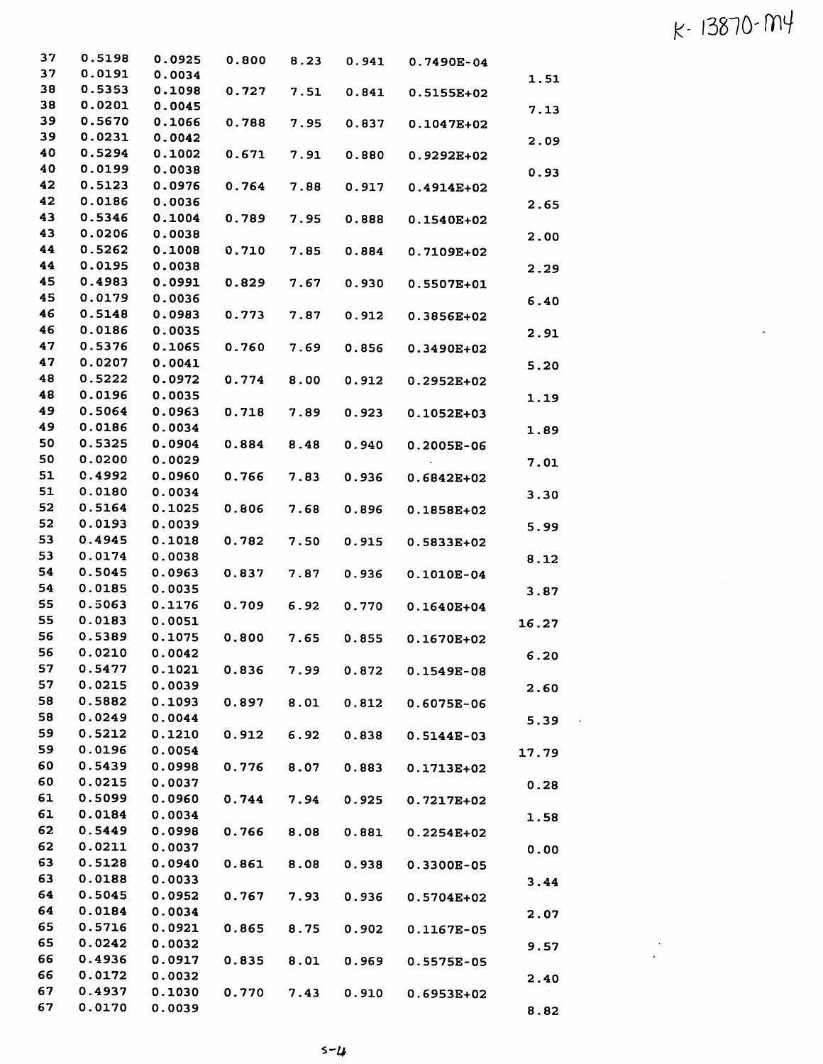## $k - 13870 - M4$

 $\sim 10^4$ 

| 37       | 0.5198           | 0.0925           |       |      |       | $0.800$ 8.23 0.941 0.7490E-04 |       |
|----------|------------------|------------------|-------|------|-------|-------------------------------|-------|
| 37       | 0.0191           | 0.0034           |       |      |       |                               | 1.51  |
| 38       | 0.5353           | 0.1098           | 0.727 | 7.51 | 0.841 | 0.5155E+02                    |       |
| 38       | 0.0201           | 0.0045           |       |      |       |                               | 7.13  |
| 39       | 0.5670           | 0.1066           | 0.788 | 7.95 | 0.837 | 0.1047E+02                    |       |
| 39       | 0.0231           | 0.0042           |       |      |       |                               | 2.09  |
| 40       | 0.5294           | 0.1002           | 0.671 | 7.91 | 0.880 | $0.9292E+02$                  |       |
| 40       | 0.0199           | 0.0038           |       |      |       |                               | 0.93  |
| 42       | 0.5123           | 0.0976           | 0.764 | 7.88 | 0.917 | 0.4914E+02                    |       |
| 42       | 0.0186           | 0.0036           |       |      |       |                               | 2.65  |
| 43       | 0.5346           | 0.1004           | 0.789 | 7.95 | 0.888 | 0.1540E+02                    |       |
| 43       | 0.0206           | 0.0038           |       |      |       |                               | 2.00  |
| 44       | 0.5262           | 0.1008           | 0.710 | 7.85 | 0.884 | 0.7109E+02                    |       |
| 44       | 0.0195           | 0.0038           |       |      |       |                               | 2.29  |
| 45       | 0.4983           | 0.0991           | 0.829 | 7.67 | 0.930 | 0.5507E+01                    |       |
| 45       | 0.0179           | 0.0036           |       |      |       |                               | 6.40  |
| 46       | 0.5148           | 0.0983           | 0.773 | 7.87 | 0.912 | 0.3856E+02                    |       |
| 46       | 0.0186           | 0.0035           |       |      |       |                               | 2.91  |
| 47       | 0.5376           | 0.1065           | 0.760 | 7.69 | 0.856 | 0.3490E+02                    |       |
| 47       | 0.0207           | 0.0041           |       |      |       |                               | 5.20  |
| 48       | 0.5222           | 0.0972           | 0.774 | 8.00 | 0.912 | $0.2952E+02$                  |       |
| 48       | 0.0196           | 0.0035           |       |      |       |                               | 1.19  |
| 49<br>49 | 0.5064           | 0.0963           | 0.718 | 7.89 | 0.923 | 0.1052E+03                    |       |
| 50       | 0.0186           | 0.0034           |       |      |       |                               | 1.89  |
| 50       | 0.5325           | 0.0904           | 0.884 | 8.48 | 0.940 | $0.2005E-06$                  |       |
| 51       | 0.0200<br>0.4992 | 0.0029<br>0.0960 |       |      |       |                               | 7.01  |
| 51       | 0.0180           |                  | 0.766 | 7.83 | 0.936 | $0.6842E + 02$                |       |
| 52       | 0.5164           | 0.0034           |       |      |       |                               | 3.30  |
| 52       | 0.0193           | 0.1025<br>0.0039 | 0.806 | 7.68 | 0.896 | 0.1858E+02                    |       |
| 53       | 0.4945           | 0.1018           | 0.782 |      |       |                               | 5.99  |
| 53       | 0.0174           | 0.0038           |       | 7.50 | 0.915 | 0.5833E+02                    |       |
| 54       | 0.5045           | 0.0963           | 0.837 | 7.87 |       |                               | 8.12  |
| 54       | 0.0185           | 0.0035           |       |      | 0.936 | $0.1010E-04$                  |       |
| 55       | 0.5063           | 0.1176           | 0.709 | 6.92 | 0.770 |                               | 3.87  |
| 55       | 0.0183           | 0.0051           |       |      |       | 0.1640E+04                    |       |
| 56       | 0.5389           | 0.1075           | 0.800 | 7.65 | 0.855 | 0.1670E+02                    | 16.27 |
| 56       | 0.0210           | 0.0042           |       |      |       |                               | 6.20  |
| 57       | 0.5477           | 0.1021           | 0.836 | 7.99 | 0.872 | 0.1549E-08                    |       |
| 57       | 0.0215           | 0.0039           |       |      |       |                               | 2.60  |
| 58       | 0.5882           | 0.1093           | 0.897 | 8.01 | 0.812 | 0.6075E-06                    |       |
| 58       | 0.0249           | 0.0044           |       |      |       |                               | 5.39  |
| 59       | 0.5212           | 0.1210           | 0.912 | 6.92 | 0.838 | 0.5144E-03                    |       |
| 59       | 0.0196           | 0.0054           |       |      |       |                               | 17.79 |
| 60       | 0.5439           | 0.0998           | 0.776 | 8.07 | 0.883 | 0.1713E+02                    |       |
| 60       | 0.0215           | 0.0037           |       |      |       |                               | 0.28  |
| 61       | 0.5099           | 0.0960           | 0.744 | 7.94 | 0.925 | 0.7217E+02                    |       |
| 61       | 0.0184           | 0.0034           |       |      |       |                               | 1.58  |
| 62       | 0.5449           | 0.0998           | 0.766 | 8.08 | 0.881 | $0.2254E+02$                  |       |
| 62       | 0.0211           | 0.0037           |       |      |       |                               | 0.00  |
| 63       | 0.5128           | 0.0940           | 0.861 | 8.08 | 0.938 | 0.3300E-05                    |       |
| 63       | 0.0188           | 0.0033           |       |      |       |                               | 3.44  |
| 64       | 0.5045           | 0.0952           | 0.767 | 7.93 | 0.936 | 0.5704E+02                    |       |
| 64       | 0.0184           | 0.0034           |       |      |       |                               | 2.07  |
| 65       | 0.5716           | 0.0921           | 0.865 | 8.75 | 0.902 | 0.1167E-05                    |       |
| 65       | 0.0242           | 0.0032           |       |      |       |                               | 9.57  |
| 66       | 0.4936           | 0.0917           | 0.835 | 8.01 | 0.969 | 0.5575E-05                    |       |
| 66       | 0.0172           | 0.0032           |       |      |       |                               | 2.40  |
| 67       | 0.4937           | 0.1030           | 0.770 | 7.43 | 0.910 | 0.6953E+02                    |       |
| 67       | 0.0170           | 0.0039           |       |      |       |                               | 8.82  |

 $5 - 4$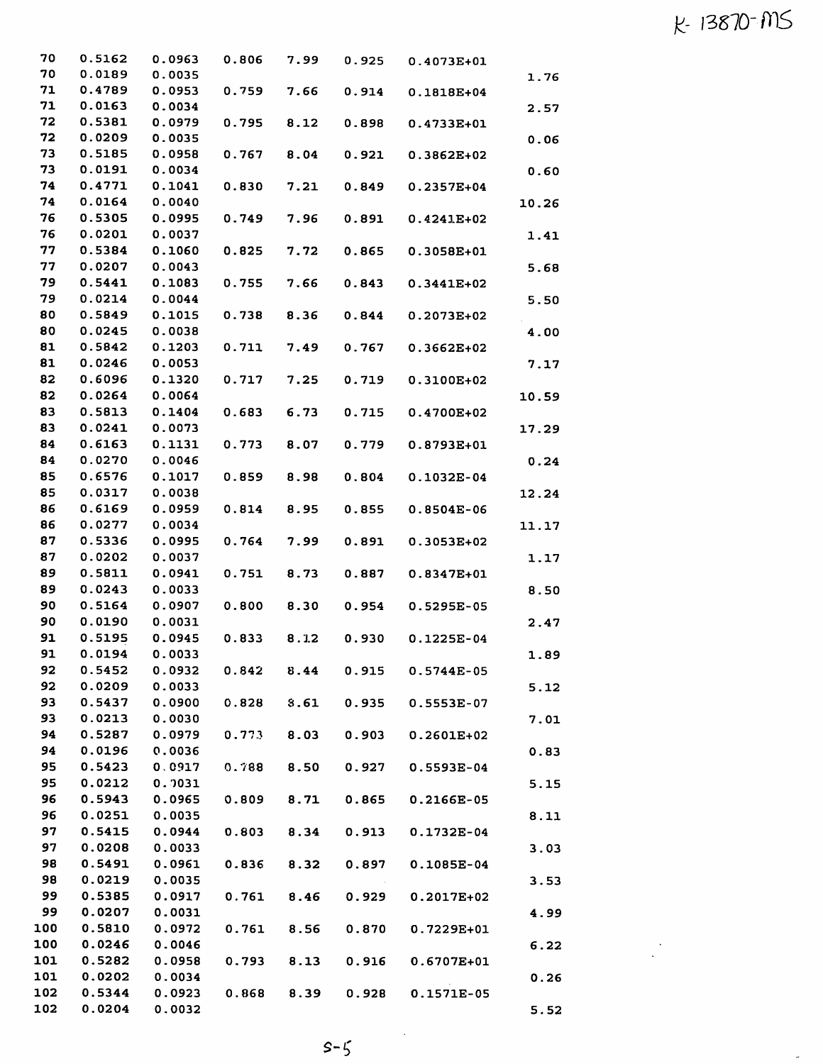## k-13810-ms

 $\frac{1}{2}$  ,  $\frac{1}{2}$ 

 $\frac{1}{\sqrt{2}}$ 

|       | 0.4073E+01     | 0.925 | 7.99 | 0.806 | 0.0963 | 0.5162 | 70  |
|-------|----------------|-------|------|-------|--------|--------|-----|
| 1.76  |                |       |      |       | 0.0035 | 0.0189 | 70  |
|       | 0.1818E+04     | 0.914 | 7.66 | 0.759 | 0.0953 | 0.4789 | 71  |
| 2.57  |                |       |      |       | 0.0034 | 0.0163 | 71  |
|       | 0.4733E+01     | 0.898 | 8.12 | 0.795 | 0.0979 | 0.5381 | 72  |
| 0.06  |                |       |      |       | 0.0035 | 0.0209 | 72  |
|       | 0.3862E+02     | 0.921 | 8.04 | 0.767 | 0.0958 | 0.5185 | 73  |
| 0.60  |                |       |      |       | 0.0034 | 0.0191 | 73  |
|       | 0.2357E+04     | 0.849 | 7.21 | 0.830 | 0.1041 | 0.4771 | 74  |
| 10.26 |                |       |      |       | 0.0040 | 0.0164 | 74  |
|       | $0.4241E+02$   | 0.891 | 7.96 | 0.749 | 0.0995 | 0.5305 | 76  |
| 1.41  |                |       |      |       | 0.0037 | 0.0201 | 76  |
|       | 0.3058E+01     | 0.865 | 7.72 | 0.825 | 0.1060 | 0.5384 | 77  |
| 5.68  |                |       |      |       | 0.0043 | 0.0207 | 77  |
|       | 0.3441E+02     | 0.843 | 7.66 | 0.755 | 0.1083 | 0.5441 | 79  |
| 5.50  |                |       |      |       | 0.0044 | 0.0214 | 79  |
|       | 0.2073E+02     | 0.844 | 8.36 | 0.738 | 0.1015 | 0.5849 | 80  |
| 4.00  |                |       |      |       | 0.0038 | 0.0245 | 80  |
|       | $0.3662E+02$   | 0.767 | 7.49 | 0.711 | 0.1203 | 0.5842 | 81  |
| 7.17  |                |       |      |       | 0.0053 | 0.0246 | 81  |
|       | 0.3100E+02     | 0.719 | 7.25 | 0.717 | 0.1320 | 0.6096 | 82  |
|       |                |       |      |       | 0.0064 | 0.0264 | 82  |
| 10.59 | 0.4700E+02     | 0.715 | 6.73 | 0.683 | 0.1404 | 0.5813 | 83  |
|       |                |       |      |       | 0.0073 | 0.0241 | 83  |
| 17.29 |                |       |      |       |        | 0.6163 | 84  |
|       | 0.8793E+01     | 0.779 | 8.07 | 0.773 | 0.1131 |        |     |
| 0.24  |                |       |      |       | 0.0046 | 0.0270 | 84  |
|       | $0.1032E-04$   | 0.804 | 8.98 | 0.859 | 0.1017 | 0.6576 | 85  |
| 12.24 |                |       |      |       | 0.0038 | 0.0317 | 85  |
|       | $0.8504E-06$   | 0.855 | 8.95 | 0.814 | 0.0959 | 0.6169 | 86  |
| 11.17 |                |       |      |       | 0.0034 | 0.0277 | 86  |
|       | 0.3053E+02     | 0.891 | 7.99 | 0.764 | 0.0995 | 0.5336 | 87  |
| 1.17  |                |       |      |       | 0.0037 | 0.0202 | 87  |
|       | 0.8347E+01     | 0.887 | 8.73 | 0.751 | 0.0941 | 0.5811 | 89  |
| 8.50  |                |       |      |       | 0.0033 | 0.0243 | 89  |
|       | $0.5295E-05$   | 0.954 | 8.30 | 0.800 | 0.0907 | 0.5164 | 90  |
| 2.47  |                |       |      |       | 0.0031 | 0.0190 | 90  |
|       | $0.1225E-04$   | 0.930 | 8.12 | 0.833 | 0.0945 | 0.5195 | 91  |
| 1.89  |                |       |      |       | 0.0033 | 0.0194 | 91  |
|       | 0.5744E-05     | 0.915 | 8.44 | 0.842 | 0.0932 | 0.5452 | 92  |
| 5.12  |                |       |      |       | 0.0033 | 0.0209 | 92  |
|       | 0.5553E-07     | 0.935 | 3.61 | 0.828 | 0.0900 | 0.5437 | 93  |
| 7.01  |                |       |      |       | 0.0030 | 0.0213 | 93  |
|       | 0.2601E+02     | 0.903 | 8.03 | 0.773 | 0.0979 | 0.5287 | 94  |
| 0.83  |                |       |      |       | 0.0036 | 0.0196 | 94  |
|       | 0.5593E-04     | 0.927 | 8.50 | 0.788 | 0.0917 | 0.5423 | 95  |
| 5.15  |                |       |      |       | 0.7031 | 0.0212 | 95  |
|       | 0.2166E-05     | 0.865 | 8.71 | 0.809 | 0.0965 | 0.5943 | 96  |
| 8.11  |                |       |      |       | 0.0035 | 0.0251 | 96  |
|       | $0.1732E-04$   | 0.913 | 8.34 | 0.803 | 0.0944 | 0.5415 | 97  |
| 3.03  |                |       |      |       | 0.0033 | 0.0208 | 97  |
|       | $0.1085E-04$   | 0.897 | 8.32 | 0.836 | 0.0961 | 0.5491 | 98  |
| 3.53  |                |       |      |       | 0.0035 | 0.0219 | 98  |
|       | 0.2017E+02     | 0.929 | 8.46 | 0.761 | 0.0917 | 0.5385 | 99  |
| 4.99  |                |       |      |       | 0.0031 | 0.0207 | 99  |
|       | 0.7229E+01     | 0.870 | 8.56 | 0.761 | 0.0972 | 0.5810 | 100 |
| 6.22  |                |       |      |       | 0.0046 | 0.0246 | 100 |
|       | $0.6707E + 01$ | 0.916 | 8.13 | 0.793 | 0.0958 | 0.5282 | 101 |
| 0.26  |                |       |      |       | 0.0034 | 0.0202 | 101 |
|       | 0.1571E-05     | 0.928 | 8.39 | 0.868 | 0.0923 | 0.5344 | 102 |
| 5.52  |                |       |      |       | 0.0032 | 0.0204 | 102 |
|       |                |       |      |       |        |        |     |

 $S-S$